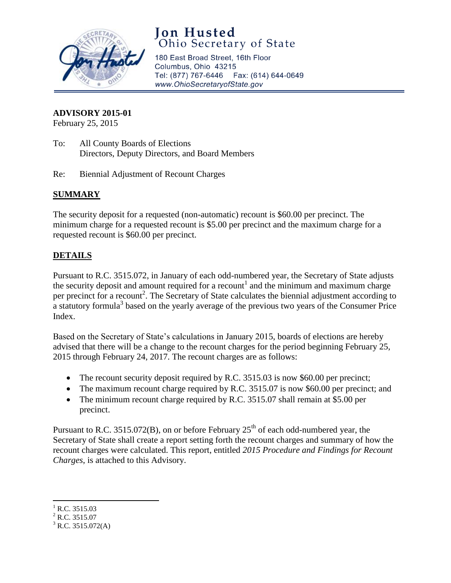

# **Jon Husted**<br>Ohio Secretary of State

180 East Broad Street, 16th Floor Columbus, Ohio 43215 Tel: (877) 767-6446 Fax: (614) 644-0649 www.OhioSecretaryofState.gov

#### **ADVISORY 2015-01**

February 25, 2015

- To: All County Boards of Elections Directors, Deputy Directors, and Board Members
- Re: Biennial Adjustment of Recount Charges

### **SUMMARY**

The security deposit for a requested (non-automatic) recount is \$60.00 per precinct. The minimum charge for a requested recount is \$5.00 per precinct and the maximum charge for a requested recount is \$60.00 per precinct.

### **DETAILS**

Pursuant to R.C. 3515.072, in January of each odd-numbered year, the Secretary of State adjusts the security deposit and amount required for a recount<sup>1</sup> and the minimum and maximum charge per precinct for a recount<sup>2</sup>. The Secretary of State calculates the biennial adjustment according to a statutory formula<sup>3</sup> based on the yearly average of the previous two years of the Consumer Price Index.

Based on the Secretary of State's calculations in January 2015, boards of elections are hereby advised that there will be a change to the recount charges for the period beginning February 25, 2015 through February 24, 2017. The recount charges are as follows:

- The recount security deposit required by R.C. 3515.03 is now \$60.00 per precinct;
- The maximum recount charge required by R.C. 3515.07 is now \$60.00 per precinct; and
- The minimum recount charge required by R.C. 3515.07 shall remain at \$5.00 per precinct.

Pursuant to R.C. 3515.072(B), on or before February  $25<sup>th</sup>$  of each odd-numbered year, the Secretary of State shall create a report setting forth the recount charges and summary of how the recount charges were calculated. This report, entitled *2015 Procedure and Findings for Recount Charges*, is attached to this Advisory.

 $\overline{\phantom{a}}$  $^{1}$  R.C. 3515.03

 $^{2}$  R.C. 3515.07

 $3$  R.C. 3515.072(A)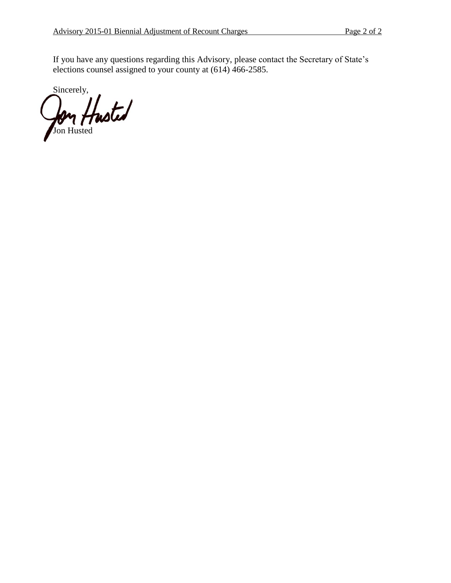If you have any questions regarding this Advisory, please contact the Secretary of State's elections counsel assigned to your county at (614) 466-2585.

Sincerely, Jon Husted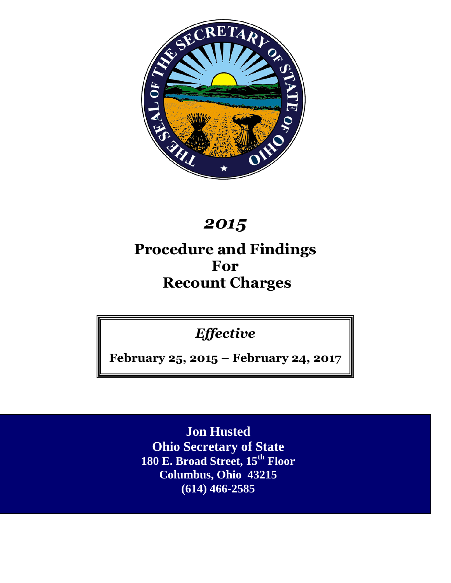

# *2015*

# **Procedure and Findings For Recount Charges**

*Effective*

**February 25, 2015 – February 24, 2017**

**Jon Husted Ohio Secretary of State 180 E. Broad Street, 15th Floor Columbus, Ohio 43215 (614) 466-2585**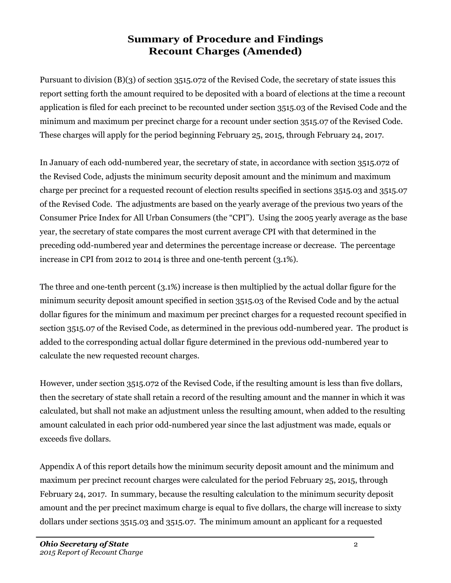### **Summary of Procedure and Findings Recount Charges (Amended)**

Pursuant to division (B)(3) of section 3515.072 of the Revised Code, the secretary of state issues this report setting forth the amount required to be deposited with a board of elections at the time a recount application is filed for each precinct to be recounted under section 3515.03 of the Revised Code and the minimum and maximum per precinct charge for a recount under section 3515.07 of the Revised Code. These charges will apply for the period beginning February 25, 2015, through February 24, 2017.

In January of each odd-numbered year, the secretary of state, in accordance with section 3515.072 of the Revised Code, adjusts the minimum security deposit amount and the minimum and maximum charge per precinct for a requested recount of election results specified in sections 3515.03 and 3515.07 of the Revised Code. The adjustments are based on the yearly average of the previous two years of the Consumer Price Index for All Urban Consumers (the "CPI"). Using the 2005 yearly average as the base year, the secretary of state compares the most current average CPI with that determined in the preceding odd-numbered year and determines the percentage increase or decrease. The percentage increase in CPI from 2012 to 2014 is three and one-tenth percent (3.1%).

The three and one-tenth percent (3.1%) increase is then multiplied by the actual dollar figure for the minimum security deposit amount specified in section 3515.03 of the Revised Code and by the actual dollar figures for the minimum and maximum per precinct charges for a requested recount specified in section 3515.07 of the Revised Code, as determined in the previous odd-numbered year. The product is added to the corresponding actual dollar figure determined in the previous odd-numbered year to calculate the new requested recount charges.

However, under section 3515.072 of the Revised Code, if the resulting amount is less than five dollars, then the secretary of state shall retain a record of the resulting amount and the manner in which it was calculated, but shall not make an adjustment unless the resulting amount, when added to the resulting amount calculated in each prior odd-numbered year since the last adjustment was made, equals or exceeds five dollars.

Appendix A of this report details how the minimum security deposit amount and the minimum and maximum per precinct recount charges were calculated for the period February 25, 2015, through February 24, 2017. In summary, because the resulting calculation to the minimum security deposit amount and the per precinct maximum charge is equal to five dollars, the charge will increase to sixty dollars under sections 3515.03 and 3515.07. The minimum amount an applicant for a requested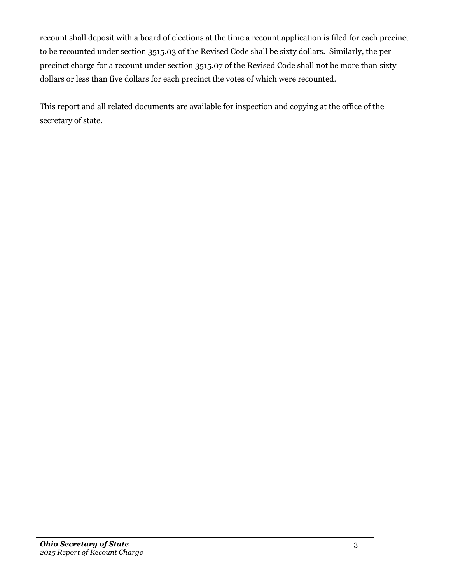recount shall deposit with a board of elections at the time a recount application is filed for each precinct to be recounted under section 3515.03 of the Revised Code shall be sixty dollars. Similarly, the per precinct charge for a recount under section 3515.07 of the Revised Code shall not be more than sixty dollars or less than five dollars for each precinct the votes of which were recounted.

This report and all related documents are available for inspection and copying at the office of the secretary of state.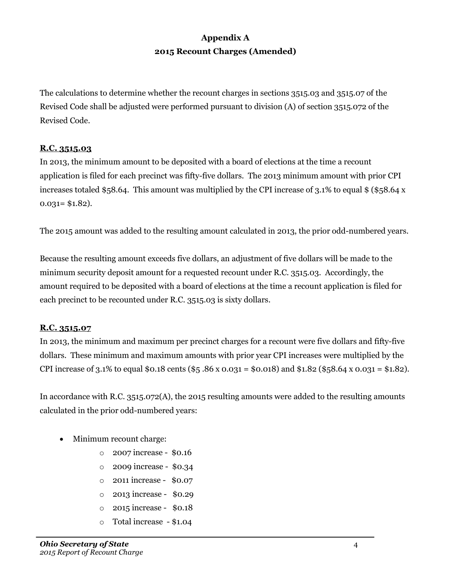### **Appendix A 2015 Recount Charges (Amended)**

The calculations to determine whether the recount charges in sections 3515.03 and 3515.07 of the Revised Code shall be adjusted were performed pursuant to division (A) of section 3515.072 of the Revised Code.

#### **R.C. 3515.03**

In 2013, the minimum amount to be deposited with a board of elections at the time a recount application is filed for each precinct was fifty-five dollars. The 2013 minimum amount with prior CPI increases totaled \$58.64. This amount was multiplied by the CPI increase of 3.1% to equal \$ (\$58.64 x  $0.031 = $1.82$ .

The 2015 amount was added to the resulting amount calculated in 2013, the prior odd-numbered years.

Because the resulting amount exceeds five dollars, an adjustment of five dollars will be made to the minimum security deposit amount for a requested recount under R.C. 3515.03. Accordingly, the amount required to be deposited with a board of elections at the time a recount application is filed for each precinct to be recounted under R.C. 3515.03 is sixty dollars.

### **R.C. 3515.07**

In 2013, the minimum and maximum per precinct charges for a recount were five dollars and fifty-five dollars. These minimum and maximum amounts with prior year CPI increases were multiplied by the CPI increase of 3.1% to equal \$0.18 cents (\$5.86 x 0.031 = \$0.018) and \$1.82 (\$58.64 x 0.031 = \$1.82).

In accordance with R.C. 3515.072(A), the 2015 resulting amounts were added to the resulting amounts calculated in the prior odd-numbered years:

- Minimum recount charge:
	- o 2007 increase \$0.16
	- o 2009 increase \$0.34
	- o 2011 increase \$0.07
	- o 2013 increase \$0.29
	- o 2015 increase \$0.18
	- o Total increase \$1.04